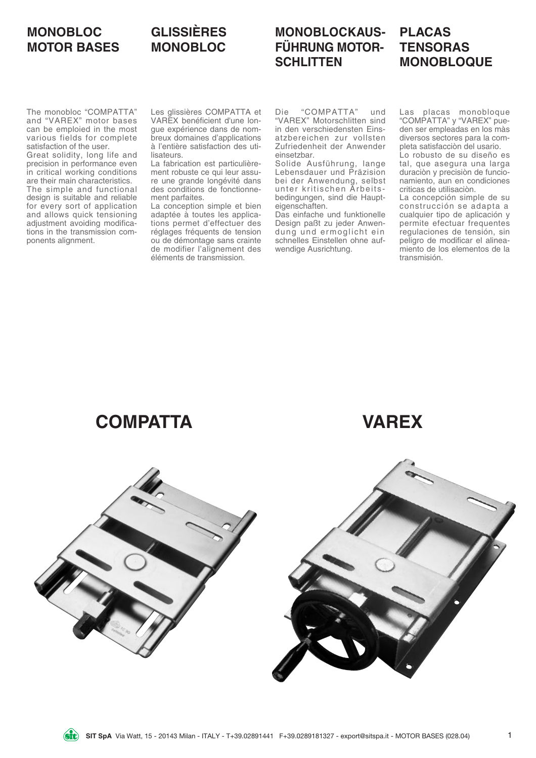### **MONOBLOC MOTOR BASES**

### **GLISSIÈRES MONOBLOC**

# **MONOBLOCKAUS-FÜHRUNG MOTOR-SCHLITTEN**

#### **PLACAS TENSORAS MONOBLOQUE**

The monobloc "COMPATTA" and "VAREX" motor bases can be emploied in the most various fields for complete satisfaction of the user.

Great solidity, long life and precision in performance even in critical working conditions are their main characteristics. The simple and functional design is suitable and reliable for every sort of application and allows quick tensioning adjustment avoiding modifications in the transmission components alignment.

Les glissières COMPATTA et VAREX benéficient d'une longue expérience dans de nombreux domaines d'applications à l'entière satisfaction des utilisateurs.

La fabrication est particulièrement robuste ce qui leur assure une grande longévité dans des conditions de fonctionnement parfaites.

La conception simple et bien adaptée à toutes les applications permet d'effectuer des réglages fréquents de tension ou de démontage sans crainte de modifier l'alignement des éléments de transmission.

Die "COMPATTA" und "VAREX" Motorschlitten sind in den verschiedensten Einsatzbereichen zur vollsten Zufriedenheit der Anwender einsetzbar.

Solide Ausführung, lange Lebensdauer und Präzision bei der Anwendung, selbst unter kritischen Arbeitsbedingungen, sind die Haupteigenschaften.

Das einfache und funktionelle Design paßt zu jeder Anwendung und ermoglicht ein schnelles Einstellen ohne aufwendige Ausrichtung.

Las placas monobloque "COMPATTA" y "VAREX" pueden ser empleadas en los màs diversos sectores para la completa satisfacciòn del usario.

Lo robusto de su diseño es tal, que asegura una larga duraciòn y precisiòn de funcionamiento, aun en condiciones criticas de utilisaciòn.

La concepción simple de su construcción se adapta a cualquier tipo de aplicación y permite efectuar frequentes regulaciones de tensión, sin peligro de modificar el alineamiento de los elementos de la transmisión.

**COMPATTA VAREX**



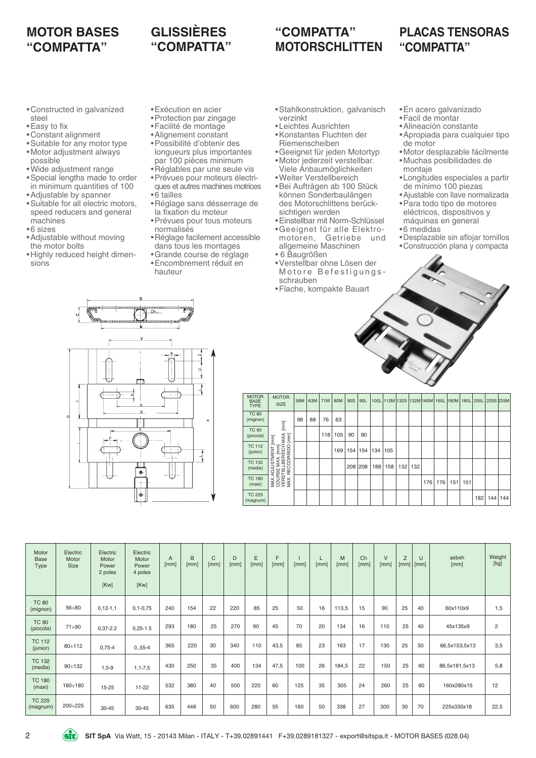### **MOTOR BASES "COMPATTA"**

# **GLISSIÈRES "COMPATTA"**

# **"COMPATTA" MOTORSCHLITTEN**

•Stahlkonstruktion, galvanisch

#### **PLACAS TENSORAS "COMPATTA"**

- •Constructed in galvanized steel
- •Easy to fix
- •Constant alignment
- •Suitable for any motor type
- •Motor adjustment always
- possible •Wide adjustment range
- •Special lengths made to order in minimum quantities of 100
- •Adjustable by spanner
- •Suitable for all electric motors, speed reducers and general machines
- •6 sizes
- •Adjustable without moving the motor bolts
- •Highly reduced height dimensions
- •Exécution en acier
- •Protection par zingage
- •Facilité de montage
- •Alignement constant
- •Possibilité d'obtenir des longueurs plus importantes par 100 pièces minimum
- •Réglables par une seule vis
- •Prévues pour moteurs électriques et autres machines motrices
- •6 tailles
- •Réglage sans désserrage de la fixation du moteur
- •Prévues pour tous moteurs normalisés
- •Réglage facilement accessible dans tous les montages
- •Grande course de réglage •Encombrement réduit en hauteur

•Konstantes Fluchten der Riemenscheiben

•Leichtes Ausrichten

verzinkt

- •Geeignet für jeden Motortyp •Motor jederzeit verstellbar.
- Viele Anbaumöglichkeiten •Weiter Verstellbereich
- •Bei Aufträgen ab 100 Stück können Sonderbaulängen des Motorschlittens berücksichtigen werden
- •Einstellbar mit Norm-Schlüssel
- •Geeignet für alle Elektromotoren, Getriebe und allgemeine Maschinen
- 
- •Flache, kompakte Bauart
- •En acero galvanizado
- •Facil de montar
- •Alineación constante
- •Apropiada para cualquier tipo de motor
- •Motor desplazable fácilmente •Muchas posibilidades de montaje
- •Longitudes especiales a partir de mínimo 100 piezas
- •Ajustable con llave normalizada •Para todo tipo de motores eléctricos, dispositivos y
- máquinas en general
- •6 medidas
- •Desplazable sin aflojar tornillos
- •Construcción plana y compacta



| <b>MOTOR</b><br><b>BASE</b><br><b>TYPE</b> | <b>MOTOR</b><br><b>SIZE</b>                  | 56M | 63M | 71M | 80M | 90S | 90L     |     |     |         |     |     | 100L 112M 132S 132M 160M 160L 180M | 180L | 200L | 225S 225M |     |
|--------------------------------------------|----------------------------------------------|-----|-----|-----|-----|-----|---------|-----|-----|---------|-----|-----|------------------------------------|------|------|-----------|-----|
| <b>TC 80</b><br>(mignon)                   |                                              | 98  | 88  | 76  | 63  |     |         |     |     |         |     |     |                                    |      |      |           |     |
| <b>TC 90</b><br>(piccola)                  | MAX. [mm]<br>[mm]<br>$\overline{\rm{[mn]}}$  |     |     | 118 | 105 | 90  | 90      |     |     |         |     |     |                                    |      |      |           |     |
| <b>TC 112</b><br>(junior)                  | ORRIDO<br>MAX. [mm]<br>LBEREICH              |     |     |     | 169 | 154 | 154     | 134 | 105 |         |     |     |                                    |      |      |           |     |
| <b>TC 132</b><br>(media)                   | <b>JUSTMENT</b><br>Ō<br>₽€                   |     |     |     |     |     | 208 208 | 188 | 158 | 132 132 |     |     |                                    |      |      |           |     |
| <b>TC 180</b><br>(maxi)                    | <b>VERSTEL</b><br>MAX.ADJI<br>COURSE<br>MAX. |     |     |     |     |     |         |     |     |         | 176 | 176 | 151                                | 151  |      |           |     |
| <b>TC 225</b><br>(magnum)                  |                                              |     |     |     |     |     |         |     |     |         |     |     |                                    |      | 182  | 144       | 144 |

| Motor<br><b>Base</b><br>Type | Electric<br>Motor<br><b>Size</b> | Electric<br>Motor<br>Power<br>2 poles<br>[Kw] | Electric<br>Motor<br>Power<br>4 poles<br>[Kw] | A<br>[mm] | B<br>[mm] | C<br>[mm] | D<br>[mm] | E<br>[mm] | F<br>[mm] | [mm] | [mm] | M<br>[mm] | Ch<br>[mm] | $\vee$<br>[mm] | Z<br>[mm]   [mm] |    | axbxh<br>[mm] | Weight<br>[kg] |
|------------------------------|----------------------------------|-----------------------------------------------|-----------------------------------------------|-----------|-----------|-----------|-----------|-----------|-----------|------|------|-----------|------------|----------------|------------------|----|---------------|----------------|
| <b>TC 80</b><br>(mignon)     | $56 \div 80$                     | $0, 12 - 1, 1$                                | $0, 1 - 0, 75$                                | 240       | 154       | 22        | 220       | 85        | 25        | 50   | 16   | 113,5     | 15         | 90             | 25               | 40 | 60x110x9      | 1,5            |
| <b>TC 90</b><br>(piccola)    | $71 \div 90$                     | $0,37-2.2$                                    | $0,25-1.5$                                    | 293       | 180       | 25        | 270       | 90        | 45        | 70   | 20   | 134       | 16         | 110            | 25               | 40 | 45x135x9      | $\overline{2}$ |
| <b>TC 112</b><br>(junior)    | $80 \div 112$                    | $0,75-4$                                      | $0.55 - 4$                                    | 365       | 220       | 30        | 340       | 110       | 43,5      | 85   | 23   | 163       | 17         | 130            | 25               | 50 | 66,5x153,5x13 | 3.5            |
| <b>TC 132</b><br>(media)     | $90 \div 132$                    | $1,5-9$                                       | $1, 1 - 7, 5$                                 | 430       | 250       | 35        | 400       | 134       | 47,5      | 100  | 26   | 184,5     | 22         | 150            | 25               | 60 | 86,5x181,5x13 | 5,8            |
| <b>TC 180</b><br>(maxi)      | $160 \div 180$                   | 15-25                                         | $11 - 22$                                     | 532       | 380       | 40        | 500       | 220       | 60        | 125  | 35   | 305       | 24         | 260            | 25               | 60 | 160x280x15    | 12             |
| <b>TC 225</b><br>(magnum)    | 200÷225                          | $30 - 45$                                     | $30 - 45$                                     | 635       | 448       | 50        | 600       | 280       | 55        | 160  | 50   | 338       | 27         | 300            | 30               | 70 | 225x335x18    | 22,5           |

- -
	- 6 Baugrößen
	- •Verstellbar ohne Lösen der Motore Befestigungsschrauben
	-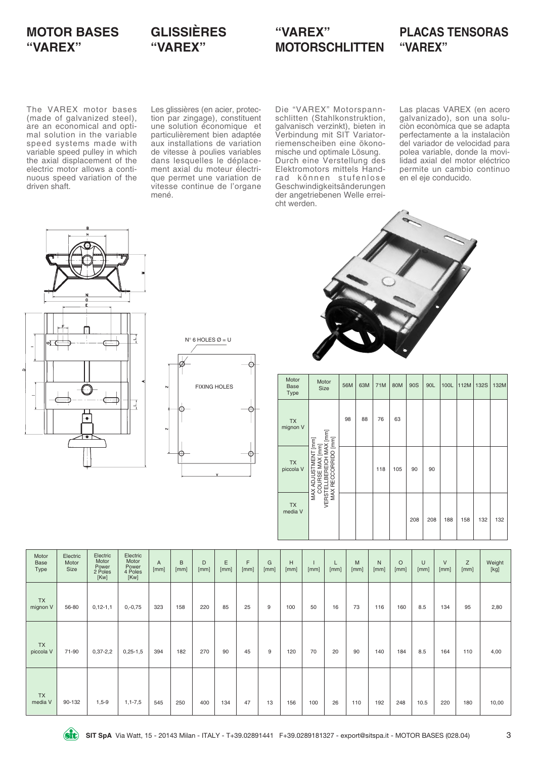# **MOTOR BASES "VAREX"**

# **GLISSIÈRES "VAREX"**

### **"VAREX" MOTORSCHLITTEN**

### **PLACAS TENSORAS "VAREX"**

The VAREX motor bases (made of galvanized steel), are an economical and optimal solution in the variable speed systems made with variable speed pulley in which the axial displacement of the electric motor allows a continuous speed variation of the driven shaft.

Les glissières (en acier, protection par zingage), constituent une solution économique et particulièrement bien adaptée aux installations de variation de vitesse à poulies variables dans lesquelles le déplacement axial du moteur électrique permet une variation de vitesse continue de l'organe mené.

Die "VAREX" Motorspannschlitten (Stahlkonstruktion, galvanisch verzinkt), bieten in Verbindung mit SIT Variatorriemenscheiben eine ökonomische und optimale Lösung. Durch eine Verstellung des Elektromotors mittels Handrad können stufenlose Geschwindigkeitsänderungen der angetriebenen Welle erreicht werden.

Las placas VAREX (en acero galvanizado), son una soluciòn econòmica que se adapta perfectamente a la instalaciòn del variador de velocidad para polea variable, donde la movilidad axial del motor eléctrico permite un cambio continuo en el eje conducido.







| Motor<br><b>Base</b><br>Type | Motor<br><b>Size</b>                                                                                      | 56M | 63M | 71M | 80M | 90S | 90L | 100L | 112M | <b>132S</b> | 132M |
|------------------------------|-----------------------------------------------------------------------------------------------------------|-----|-----|-----|-----|-----|-----|------|------|-------------|------|
| <b>TX</b><br>mignon V        | IAX [mm]<br>[mm]                                                                                          | 98  | 88  | 76  | 63  |     |     |      |      |             |      |
| TX<br>piccola V              | MAX ADJUSTMENT [mm]<br>$\begin{bmatrix} 1 \\ 2 \end{bmatrix}$<br>RECCORRIDO<br>m<br>COURSE<br>ш<br>ᆱ<br>Щ |     |     | 118 | 105 | 90  | 90  |      |      |             |      |
| <b>TX</b><br>media V         | MAX<br><b>VERST</b>                                                                                       |     |     |     |     | 208 | 208 | 188  | 158  | 132         | 132  |

| Motor<br>Base<br>Type  | Electric<br>Motor<br>Size | Electric<br>Motor<br>Power<br>2 Poles<br>[Kw] | Electric<br>Motor<br>Power<br>4 Poles<br>[Kw] | A<br>[mm] | B<br>[mm] | D<br>[mm] | Ε<br>[mm] | F<br>[mm] | G<br>[mm] | H<br>[mm] | [mm] | [mm] | M<br>[mm] | $\mathsf{N}$<br>[mm] | $\circ$<br>[mm] | U<br>[mm] | $\vee$<br>[mm] | Z<br>[mm] | Weight<br>[kg] |
|------------------------|---------------------------|-----------------------------------------------|-----------------------------------------------|-----------|-----------|-----------|-----------|-----------|-----------|-----------|------|------|-----------|----------------------|-----------------|-----------|----------------|-----------|----------------|
| <b>TX</b><br>mignon V  | 56-80                     | $0, 12 - 1, 1$                                | $0,-0,75$                                     | 323       | 158       | 220       | 85        | 25        | 9         | 100       | 50   | 16   | 73        | 116                  | 160             | 8.5       | 134            | 95        | 2,80           |
| <b>TX</b><br>piccola V | 71-90                     | $0,37-2,2$                                    | $0,25-1,5$                                    | 394       | 182       | 270       | 90        | 45        | 9         | 120       | 70   | 20   | 90        | 140                  | 184             | 8.5       | 164            | 110       | 4,00           |
| <b>TX</b><br>media V   | 90-132                    | $1,5-9$                                       | $1, 1 - 7, 5$                                 | 545       | 250       | 400       | 134       | 47        | 13        | 156       | 100  | 26   | 110       | 192                  | 248             | 10.5      | 220            | 180       | 10,00          |

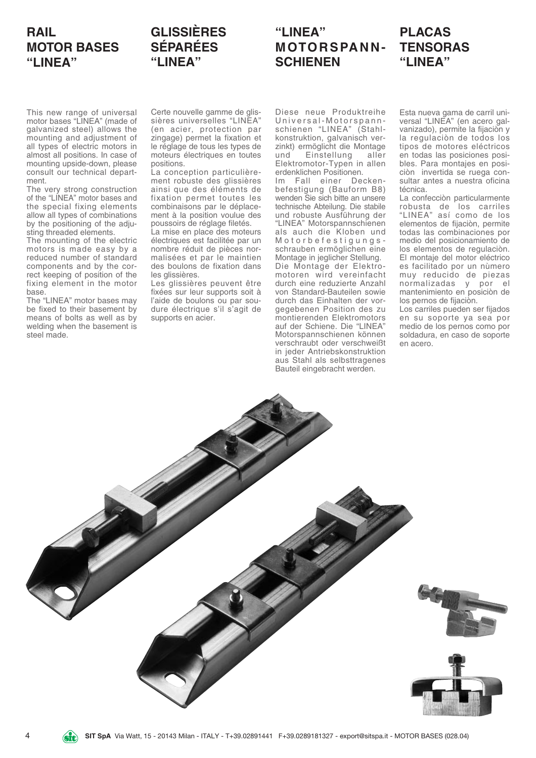# **RAIL MOTOR BASES "LINEA"**

# **GLISSIÈRES SÉPARÉES "LINEA"**

# **"LINEA" MOTORSPANN-SCHIENEN**

# **PLACAS TENSORAS "LINEA"**

This new range of universal motor bases "LINEA" (made of galvanized steel) allows the mounting and adjustment of all types of electric motors in almost all positions. In case of mounting upside-down, please consult our technical department.

The very strong construction of the "LINEA" motor bases and the special fixing elements allow all types of combinations by the positioning of the adjusting threaded elements.

The mounting of the electric motors is made easy by a reduced number of standard components and by the correct keeping of position of the fixing element in the motor base.

The "LINEA" motor bases may be fixed to their basement by means of bolts as well as by welding when the basement is steel made.

Certe nouvelle gamme de glissières universelles "LINEA" (en acier, protection par zingage) permet la fixation et le réglage de tous les types de moteurs électriques en toutes positions.

La conception particulièrement robuste des glissières ainsi que des éléments de fixation permet toutes les combinaisons par le déplacement à la position voulue des poussoirs de réglage filetés.

La mise en place des moteurs électriques est facilitée par un nombre réduit de pièces normalisées et par le maintien des boulons de fixation dans les glissières.

Les glissières peuvent être fixées sur leur supports soit à l'aide de boulons ou par soudure électrique s'il s'agit de supports en acier.

Diese neue Produktreihe Universal-Motorspannschienen "LINEA" (Stahlkonstruktion, galvanisch verzinkt) ermöglicht die Montage und Einstellung aller Elektromotor-Typen in allen erdenklichen Positionen.

Im Fall einer Deckenbefestigung (Bauform B8) wenden Sie sich bitte an unsere technische Abteilung. Die stabile und robuste Ausführung der "LINEA" Motorspannschienen als auch die Kloben und Motorbefestigungsschrauben ermöglichen eine Montage in jeglicher Stellung. Die Montage der Elektromotoren wird vereinfacht durch eine reduzierte Anzahl von Standard-Bauteilen sowie durch das Einhalten der vorgegebenen Position des zu montierenden Elektromotors auf der Schiene. Die "LINEA" Motorspannschienen können verschraubt oder verschweißt in jeder Antriebskonstruktion aus Stahl als selbsttragenes Bauteil eingebracht werden.

Esta nueva gama de carril universal "LINEA" (en acero galvanizado), permite la fijaciòn y la regulaciòn de todos los tipos de motores eléctricos en todas las posiciones posibles. Para montajes en posiciòn invertida se ruega consultar antes a nuestra oficina técnica.

La confecciòn particularmente robusta de los carriles "LINEA" así como de los elementos de fijaciòn, permite todas las combinaciones por medio del posicionamiento de los elementos de regulaciòn. El montaje del motor eléctrico es facilitado por un nùmero muy reducido de piezas normalizadas y por el mantenimiento en posiciòn de los pernos de fijaciòn.

Los carriles pueden ser fijados en su soporte ya sea por medio de los pernos como por soldadura, en caso de soporte en acero.

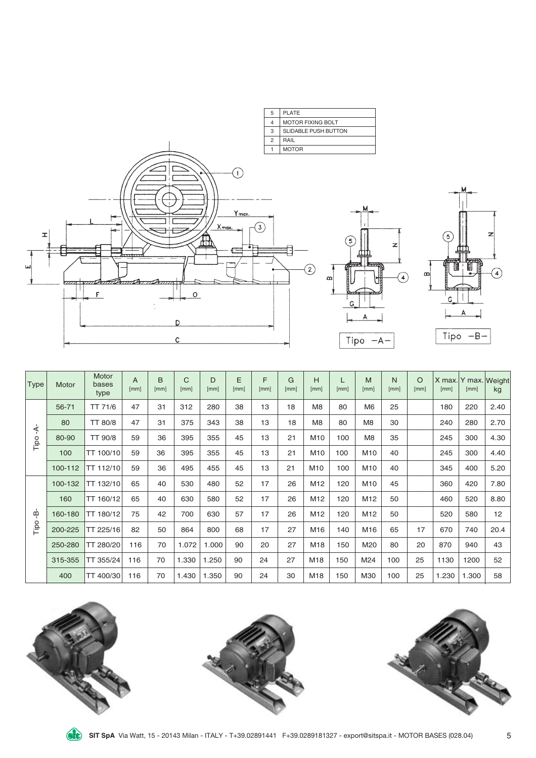



| Type | Motor   | Motor<br>bases<br>type | A<br>[mm] | B<br>[mm] | C<br>[mm] | D<br>[mm] | E<br>[mm] | F<br>[mm] | G<br>[mm] | н<br>[mm]       | [mm] | M<br>[mm]       | N<br>[mm] | O<br>[mm] | [mm]  | X max. Y max. Weight<br>[mm] | kg   |
|------|---------|------------------------|-----------|-----------|-----------|-----------|-----------|-----------|-----------|-----------------|------|-----------------|-----------|-----------|-------|------------------------------|------|
|      | 56-71   | TT 71/6                | 47        | 31        | 312       | 280       | 38        | 13        | 18        | M <sub>8</sub>  | 80   | M <sub>6</sub>  | 25        |           | 180   | 220                          | 2.40 |
| ≮    | 80      | TT 80/8                | 47        | 31        | 375       | 343       | 38        | 13        | 18        | M <sub>8</sub>  | 80   | M <sub>8</sub>  | 30        |           | 240   | 280                          | 2.70 |
| Tipo | 80-90   | TT 90/8                | 59        | 36        | 395       | 355       | 45        | 13        | 21        | M10             | 100  | M <sub>8</sub>  | 35        |           | 245   | 300                          | 4.30 |
|      | 100     | TT 100/10              | 59        | 36        | 395       | 355       | 45        | 13        | 21        | M10             | 100  | M10             | 40        |           | 245   | 300                          | 4.40 |
|      | 100-112 | TT 112/10              | 59        | 36        | 495       | 455       | 45        | 13        | 21        | M10             | 100  | M10             | 40        |           | 345   | 400                          | 5.20 |
|      | 100-132 | TT 132/10              | 65        | 40        | 530       | 480       | 52        | 17        | 26        | M12             | 120  | M10             | 45        |           | 360   | 420                          | 7.80 |
|      | 160     | TT 160/12              | 65        | 40        | 630       | 580       | 52        | 17        | 26        | M12             | 120  | M12             | 50        |           | 460   | 520                          | 8.80 |
| ؋    | 160-180 | TT 180/12              | 75        | 42        | 700       | 630       | 57        | 17        | 26        | M12             | 120  | M <sub>12</sub> | 50        |           | 520   | 580                          | 12   |
| Tipo | 200-225 | TT 225/16              | 82        | 50        | 864       | 800       | 68        | 17        | 27        | M16             | 140  | M16             | 65        | 17        | 670   | 740                          | 20.4 |
|      | 250-280 | TT 280/20              | 116       | 70        | 1.072     | 1.000     | 90        | 20        | 27        | M <sub>18</sub> | 150  | M20             | 80        | 20        | 870   | 940                          | 43   |
|      | 315-355 | TT 355/24              | 116       | 70        | 1.330     | 1.250     | 90        | 24        | 27        | M18             | 150  | M24             | 100       | 25        | 1130  | 1200                         | 52   |
|      | 400     | TT 400/30              | 116       | 70        | 1.430     | 1.350     | 90        | 24        | 30        | M18             | 150  | M30             | 100       | 25        | 1.230 | 1.300                        | 58   |





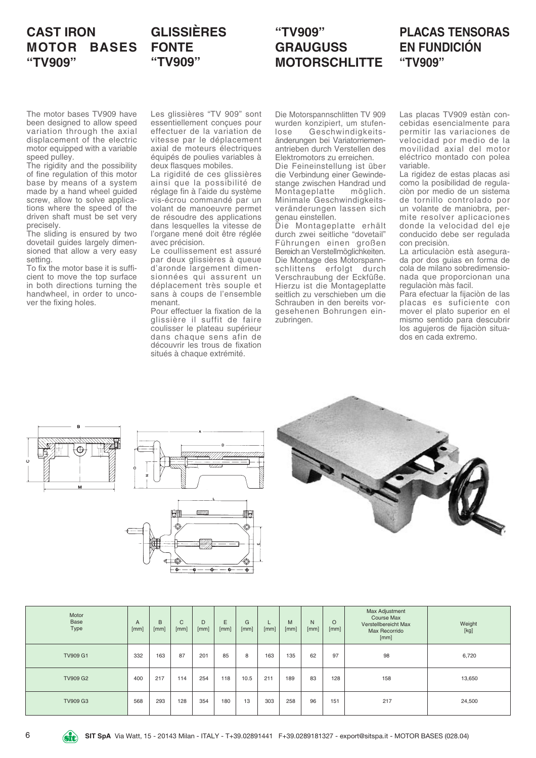## **CAST IRON MOTOR BASES "TV909"**

## **GLISSIÈRES FONTE "TV909"**

### **"TV909" GRAUGUSS MOTORSCHLITTE**

### **PLACAS TENSORAS EN FUNDICIÓN "TV909"**

The motor bases TV909 have been designed to allow speed variation through the axial displacement of the electric motor equipped with a variable speed pulley.

The rigidity and the possibility of fine regulation of this motor base by means of a system made by a hand wheel guided screw, allow to solve applications where the speed of the driven shaft must be set very precisely.

The sliding is ensured by two dovetail guides largely dimensioned that allow a very easy setting.

To fix the motor base it is sufficient to move the top surface in both directions turning the handwheel, in order to uncover the fixing holes.

Les glissières "TV 909" sont essentiellement conçues pour effectuer de la variation de vitesse par le déplacement axial de moteurs électriques équipés de poulies variables à deux flasques mobiles.

La rigidité de ces glissières ainsi que la possibilité de réglage fin à l'aide du système vis-écrou commandé par un volant de manoeuvre permet de résoudre des applications dans lesquelles la vitesse de l'organe mené doit être réglée avec précision.

Le coullissement est assuré par deux glissières à queue d'aronde largement dimensionnées qui assurent un déplacement très souple et sans à coups de l'ensemble menant.

Pour effectuer la fixation de la glissière il suffit de faire coulisser le plateau supérieur dans chaque sens afin de découvrir les trous de fixation situés à chaque extrémité.

Die Motorspannschlitten TV 909 wurden konzipiert, um stufen-<br>Jose Geschwindigkeits-Geschwindigkeitsänderungen bei Variatorriemenantrieben durch Verstellen des Elektromotors zu erreichen.

Die Feineinstellung ist über die Verbindung einer Gewindestange zwischen Handrad und<br>Montageplatte möglich. Montageplatte Minimale Geschwindigkeitsveränderungen lassen sich genau einstellen.

Die Montageplatte erhält durch zwei seitliche "dovetail" Führungen einen großen Bereich an Verstellmöglichkeiten. Die Montage des Motorspannschlittens erfolgt durch Verschraubung der Eckfüße. Hierzu ist die Montageplatte seitlich zu verschieben um die Schrauben in den bereits vorgesehenen Bohrungen einzubringen.

Las placas TV909 estàn concebidas esencialmente para permitir las variaciones de velocidad por medio de la movilidad axial del motor eléctrico montado con polea variable.

La rigidez de estas placas asi como la posibilidad de regulaciòn por medio de un sistema de tornillo controlado por un volante de maniobra, permite resolver aplicaciones donde la velocidad del eje conducido debe ser regulada con precisiòn.

La articulaciòn està asegurada por dos guias en forma de cola de milano sobredimensionada que proporcionan una regulaciòn màs facil.

Para efectuar la fijaciòn de las placas es suficiente con mover el plato superior en el mismo sentido para descubrir los agujeros de fijaciòn situados en cada extremo.







| Motor<br>Base<br>Type | A<br>[mm] | B<br>[mm] | C<br>[mm] | D<br>[mm] | E<br>[mm] | G<br>[mm] | ┕<br>[mm] | M<br>[mm] | N<br>[mm] | $\circ$<br>[mm] | Max Adjustment<br>Course Max<br>Verstellbereicht Max<br>Max Recorrido<br>[mm] | Weight<br>[kg] |
|-----------------------|-----------|-----------|-----------|-----------|-----------|-----------|-----------|-----------|-----------|-----------------|-------------------------------------------------------------------------------|----------------|
| <b>TV909 G1</b>       | 332       | 163       | 87        | 201       | 85        | 8         | 163       | 135       | 62        | 97              | 98                                                                            | 6,720          |
| <b>TV909 G2</b>       | 400       | 217       | 114       | 254       | 118       | 10.5      | 211       | 189       | 83        | 128             | 158                                                                           | 13,650         |
| <b>TV909 G3</b>       | 568       | 293       | 128       | 354       | 180       | 13        | 303       | 258       | 96        | 151             | 217                                                                           | 24,500         |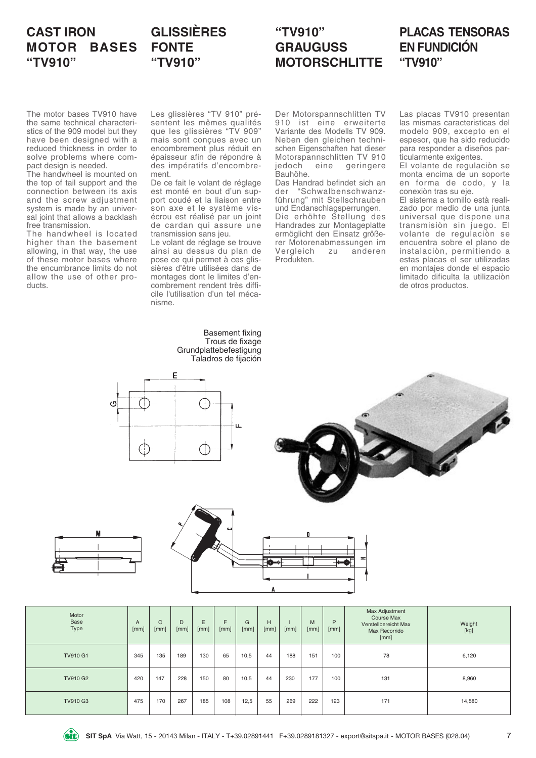# **CAST IRON MOTOR BASES "TV910"**

# **GLISSIÈRES FONTE "TV910"**

# **"TV910" GRAUGUSS MOTORSCHLITTE**

### **PLACAS TENSORAS EN FUNDICIÓN "TV910"**

The motor bases TV910 have the same technical characteristics of the 909 model but they have been designed with a reduced thickness in order to solve problems where compact design is needed.

The handwheel is mounted on the top of tail support and the connection between its axis and the screw adjustment system is made by an universal joint that allows a backlash free transmission.

The handwheel is located higher than the basement allowing, in that way, the use of these motor bases where the encumbrance limits do not allow the use of other products.

Les glissières "TV 910" présentent les mêmes qualités que les glissières "TV 909" mais sont conçues avec un encombrement plus réduit en épaisseur afin de répondre à des impératifs d'encombrement.

De ce fait le volant de réglage est monté en bout d'un support coudé et la liaison entre son axe et le système visécrou est réalisé par un joint de cardan qui assure une transmission sans jeu.

Le volant de réglage se trouve ainsi au dessus du plan de pose ce qui permet à ces glissières d'être utilisées dans de montages dont le limites d'encombrement rendent très difficile l'utilisation d'un tel mécanisme.

> Basement fixing Trous de fixage Grundplattebefestigung Taladros de fijación

Der Motorspannschlitten TV 910 ist eine erweiterte Variante des Modells TV 909. Neben den gleichen technischen Eigenschaften hat dieser Motorspannschlitten TV 910 jedoch eine geringere Bauhöhe.

Das Handrad befindet sich an<br>der "Schwalbenschwanz-"Schwalbenschwanzführung" mit Stellschrauben und Endanschlagsperrungen. Die erhöhte Stellung des Handrades zur Montageplatte ermöglicht den Einsatz größerer Motorenabmessungen im<br>Vergleich zu anderen Vergleich Produkten.

Las placas TV910 presentan las mismas caracteristicas del modelo 909, excepto en el espesor, que ha sido reducido para responder a diseños particularmente exigentes.

El volante de regulaciòn se monta encima de un soporte en forma de codo, y la conexiòn tras su eje.

El sistema a tornillo està realizado por medio de una junta universal que dispone una transmisiòn sin juego. El volante de regulaciòn se encuentra sobre el plano de instalaciòn, permitiendo a estas placas el ser utilizadas en montajes donde el espacio limitado dificulta la utilizaciòn de otros productos.







| o |  |
|---|--|
|   |  |
|   |  |
|   |  |

| Motor<br>Base<br>Type | $\mathsf{A}$<br>[mm] | $\mathsf{C}$<br>[mm] | D<br>[mm] | E<br>[mm] | E<br>[mm] | G<br>[mm] | H<br>[mm] | [mm] | M<br>[mm] | P<br>[mm] | Max Adjustment<br><b>Course Max</b><br>Verstellbereicht Max<br>Max Recorrido<br>[mm] | Weight<br>[kg] |
|-----------------------|----------------------|----------------------|-----------|-----------|-----------|-----------|-----------|------|-----------|-----------|--------------------------------------------------------------------------------------|----------------|
| <b>TV910 G1</b>       | 345                  | 135                  | 189       | 130       | 65        | 10,5      | 44        | 188  | 151       | 100       | 78                                                                                   | 6,120          |
| <b>TV910 G2</b>       | 420                  | 147                  | 228       | 150       | 80        | 10,5      | 44        | 230  | 177       | 100       | 131                                                                                  | 8,960          |
| <b>TV910 G3</b>       | 475                  | 170                  | 267       | 185       | 108       | 12,5      | 55        | 269  | 222       | 123       | 171                                                                                  | 14,580         |